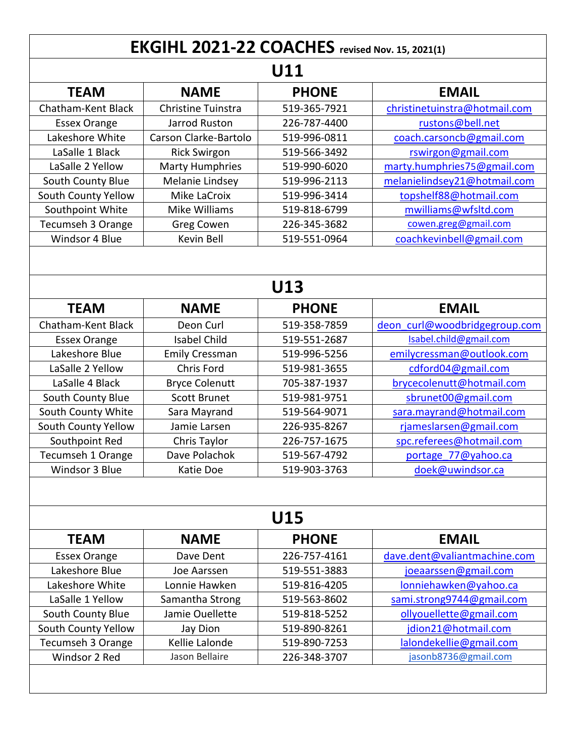| <b>EKGIHL 2021-22 COACHES</b> revised Nov. 15, 2021(1)<br>U11 |                        |              |                               |  |  |
|---------------------------------------------------------------|------------------------|--------------|-------------------------------|--|--|
|                                                               |                        |              |                               |  |  |
| Chatham-Kent Black                                            | Christine Tuinstra     | 519-365-7921 | christinetuinstra@hotmail.com |  |  |
| <b>Essex Orange</b>                                           | Jarrod Ruston          | 226-787-4400 | rustons@bell.net              |  |  |
| Lakeshore White                                               | Carson Clarke-Bartolo  | 519-996-0811 | coach.carsoncb@gmail.com      |  |  |
| LaSalle 1 Black                                               | <b>Rick Swirgon</b>    | 519-566-3492 | rswirgon@gmail.com            |  |  |
| LaSalle 2 Yellow                                              | <b>Marty Humphries</b> | 519-990-6020 | marty.humphries75@gmail.com   |  |  |
| South County Blue                                             | Melanie Lindsey        | 519-996-2113 | melanielindsey21@hotmail.com  |  |  |
| South County Yellow                                           | Mike LaCroix           | 519-996-3414 | topshelf88@hotmail.com        |  |  |
| Southpoint White                                              | Mike Williams          | 519-818-6799 | mwilliams@wfsltd.com          |  |  |
| Tecumseh 3 Orange                                             | Greg Cowen             | 226-345-3682 | cowen.greg@gmail.com          |  |  |
| Windsor 4 Blue                                                | Kevin Bell             | 519-551-0964 | coachkevinbell@gmail.com      |  |  |
| U13                                                           |                        |              |                               |  |  |
| <b>TEAM</b>                                                   | <b>NAME</b>            | <b>PHONE</b> | <b>EMAIL</b>                  |  |  |
| Chatham-Kent Black                                            | Deon Curl              | 519-358-7859 | deon curl@woodbridgegroup.com |  |  |
| <b>Essex Orange</b>                                           | <b>Isabel Child</b>    | 519-551-2687 | Isabel.child@gmail.com        |  |  |
| Lakeshore Blue                                                | <b>Emily Cressman</b>  | 519-996-5256 | emilycressman@outlook.com     |  |  |
| LaSalle 2 Yellow                                              | Chris Ford             | 519-981-3655 | cdford04@gmail.com            |  |  |
| LaSalle 4 Black                                               | <b>Bryce Colenutt</b>  | 705-387-1937 | brycecolenutt@hotmail.com     |  |  |
| South County Blue                                             | <b>Scott Brunet</b>    | 519-981-9751 | sbrunet00@gmail.com           |  |  |
| South County White                                            | Sara Mayrand           | 519-564-9071 | sara.mayrand@hotmail.com      |  |  |
| South County Yellow                                           | Jamie Larsen           | 226-935-8267 | rjameslarsen@gmail.com        |  |  |
| Southpoint Red                                                | Chris Taylor           | 226-757-1675 | spc.referees@hotmail.com      |  |  |
| Tecumseh 1 Orange                                             | Dave Polachok          | 519-567-4792 | portage 77@yahoo.ca           |  |  |
| Windsor 3 Blue                                                | Katie Doe              | 519-903-3763 | doek@uwindsor.ca              |  |  |
| U15                                                           |                        |              |                               |  |  |
| <b>TEAM</b>                                                   | <b>NAME</b>            | <b>PHONE</b> | <b>EMAIL</b>                  |  |  |
| <b>Essex Orange</b>                                           | Dave Dent              | 226-757-4161 | dave.dent@valiantmachine.com  |  |  |
| Lakeshore Blue                                                | Joe Aarssen            | 519-551-3883 | joeaarssen@gmail.com          |  |  |
| Lakeshore White                                               | Lonnie Hawken          | 519-816-4205 | lonniehawken@yahoo.ca         |  |  |
| LaSalle 1 Yellow                                              | Samantha Strong        | 519-563-8602 | sami.strong9744@gmail.com     |  |  |
| South County Blue                                             | Jamie Ouellette        | 519-818-5252 | ollyouellette@gmail.com       |  |  |
| South County Yellow                                           | Jay Dion               | 519-890-8261 | jdion21@hotmail.com           |  |  |
| Tecumseh 3 Orange                                             | Kellie Lalonde         | 519-890-7253 | lalondekellie@gmail.com       |  |  |
| Windsor 2 Red                                                 | Jason Bellaire         | 226-348-3707 | jasonb8736@gmail.com          |  |  |
|                                                               |                        |              |                               |  |  |
|                                                               |                        |              |                               |  |  |